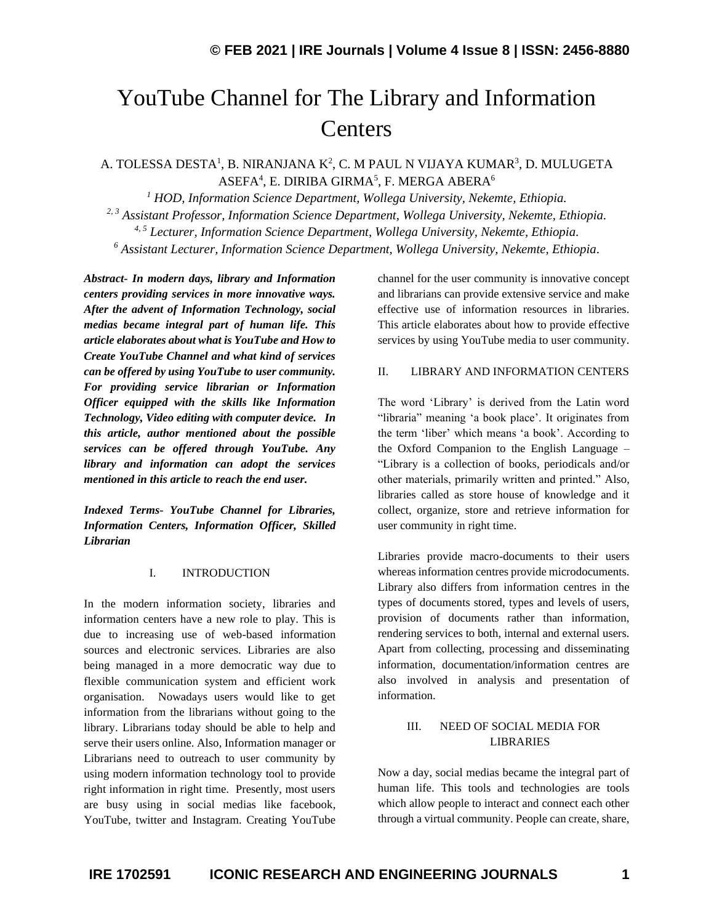# YouTube Channel for The Library and Information **Centers**

## A. TOLESSA DESTA<sup>1</sup>, B. NIRANJANA K<sup>2</sup>, C. M PAUL N VIJAYA KUMAR<sup>3</sup>, D. MULUGETA ASEFA $^4$ , E. DIRIBA GIRMA $^5$ , F. MERGA ABERA $^6$

*<sup>1</sup> HOD, Information Science Department, Wollega University, Nekemte, Ethiopia. 2, 3 Assistant Professor, Information Science Department, Wollega University, Nekemte, Ethiopia. 4, 5 Lecturer, Information Science Department, Wollega University, Nekemte, Ethiopia. <sup>6</sup> Assistant Lecturer, Information Science Department, Wollega University, Nekemte, Ethiopia.*

*Abstract- In modern days, library and Information centers providing services in more innovative ways. After the advent of Information Technology, social medias became integral part of human life. This article elaborates about what is YouTube and How to Create YouTube Channel and what kind of services can be offered by using YouTube to user community. For providing service librarian or Information Officer equipped with the skills like Information Technology, Video editing with computer device. In this article, author mentioned about the possible services can be offered through YouTube. Any library and information can adopt the services mentioned in this article to reach the end user.*

*Indexed Terms- YouTube Channel for Libraries, Information Centers, Information Officer, Skilled Librarian*

## I. INTRODUCTION

In the modern information society, libraries and information centers have a new role to play. This is due to increasing use of web-based information sources and electronic services. Libraries are also being managed in a more democratic way due to flexible communication system and efficient work organisation. Nowadays users would like to get information from the librarians without going to the library. Librarians today should be able to help and serve their users online. Also, Information manager or Librarians need to outreach to user community by using modern information technology tool to provide right information in right time. Presently, most users are busy using in social medias like facebook, YouTube, twitter and Instagram. Creating YouTube

channel for the user community is innovative concept and librarians can provide extensive service and make effective use of information resources in libraries. This article elaborates about how to provide effective services by using YouTube media to user community.

## II. LIBRARY AND INFORMATION CENTERS

The word 'Library' is derived from the Latin word "libraria" meaning 'a book place'. It originates from the term 'liber' which means 'a book'. According to the Oxford Companion to the English Language – "Library is a collection of books, periodicals and/or other materials, primarily written and printed." Also, libraries called as store house of knowledge and it collect, organize, store and retrieve information for user community in right time.

Libraries provide macro-documents to their users whereas information centres provide microdocuments. Library also differs from information centres in the types of documents stored, types and levels of users, provision of documents rather than information, rendering services to both, internal and external users. Apart from collecting, processing and disseminating information, documentation/information centres are also involved in analysis and presentation of information.

## III. NEED OF SOCIAL MEDIA FOR LIBRARIES

Now a day, social medias became the integral part of human life. This tools and technologies are tools which allow people to interact and connect each other through a virtual community. People can create, share,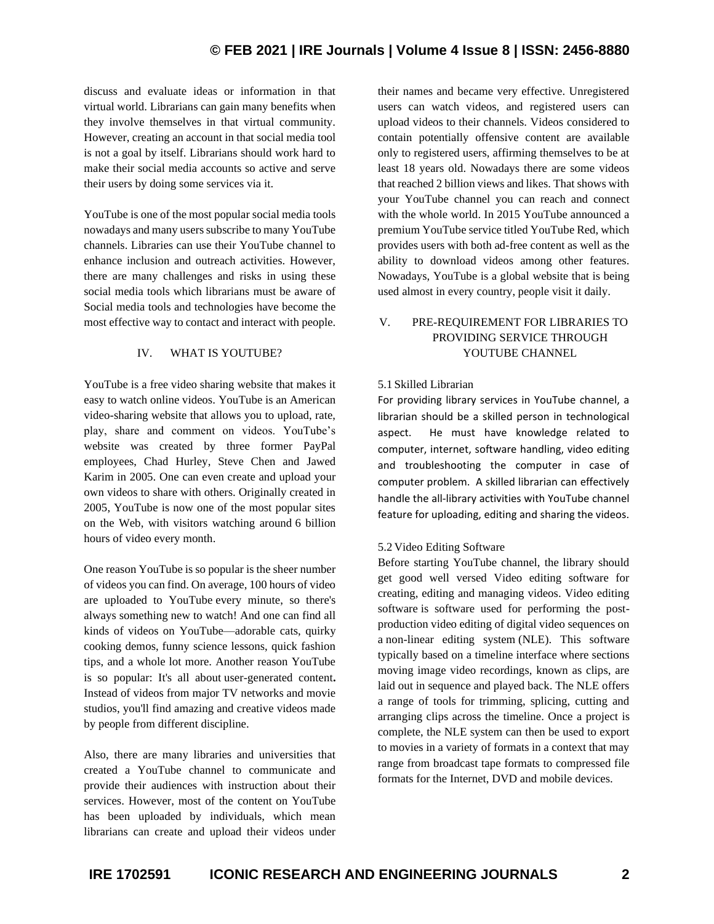## **© FEB 2021 | IRE Journals | Volume 4 Issue 8 | ISSN: 2456-8880**

discuss and evaluate ideas or information in that virtual world. Librarians can gain many benefits when they involve themselves in that virtual community. However, creating an account in that social media tool is not a goal by itself. Librarians should work hard to make their social media accounts so active and serve their users by doing some services via it.

YouTube is one of the most popular social media tools nowadays and many users subscribe to many YouTube channels. Libraries can use their YouTube channel to enhance inclusion and outreach activities. However, there are many challenges and risks in using these social media tools which librarians must be aware of Social media tools and technologies have become the most effective way to contact and interact with people.

## IV. WHAT IS YOUTUBE?

YouTube is a free video sharing website that makes it easy to watch online videos. YouTube is an American video-sharing website that allows you to upload, rate, play, share and comment on videos. YouTube's website was created by three former PayPal employees, Chad Hurley, Steve Chen and Jawed Karim in 2005. One can even create and upload your own videos to share with others. Originally created in 2005, YouTube is now one of the most popular sites on the Web, with visitors watching around 6 billion hours of video every month.

One reason YouTube is so popular is the sheer number of videos you can find. On average, 100 hours of video are uploaded to YouTube every minute, so there's always something new to watch! And one can find all kinds of videos on YouTube—adorable cats, quirky cooking demos, funny science lessons, quick fashion tips, and a whole lot more. Another reason YouTube is so popular: It's all about user-generated content**.** Instead of videos from major TV networks and movie studios, you'll find amazing and creative videos made by people from different discipline.

Also, there are many libraries and universities that created a YouTube channel to communicate and provide their audiences with instruction about their services. However, most of the content on YouTube has been uploaded by individuals, which mean librarians can create and upload their videos under their names and became very effective. Unregistered users can watch videos, and registered users can upload videos to their channels. Videos considered to contain potentially offensive content are available only to registered users, affirming themselves to be at least 18 years old. Nowadays there are some videos that reached 2 billion views and likes. That shows with your YouTube channel you can reach and connect with the whole world. In 2015 YouTube announced a premium YouTube service titled YouTube Red, which provides users with both ad-free content as well as the ability to download videos among other features. Nowadays, YouTube is a global website that is being used almost in every country, people visit it daily.

## V. PRE-REQUIREMENT FOR LIBRARIES TO PROVIDING SERVICE THROUGH YOUTUBE CHANNEL

## 5.1 Skilled Librarian

For providing library services in YouTube channel, a librarian should be a skilled person in technological aspect. He must have knowledge related to computer, internet, software handling, video editing and troubleshooting the computer in case of computer problem. A skilled librarian can effectively handle the all-library activities with YouTube channel feature for uploading, editing and sharing the videos.

## 5.2 Video Editing Software

Before starting YouTube channel, the library should get good well versed Video editing software for creating, editing and managing videos. Video editing software is software used for performing the postproduction video editing of digital video sequences on a non-linear editing system (NLE). This software typically based on a timeline interface where sections moving image video recordings, known as clips, are laid out in sequence and played back. The NLE offers a range of tools for trimming, splicing, cutting and arranging clips across the timeline. Once a project is complete, the NLE system can then be used to export to movies in a variety of formats in a context that may range from broadcast tape formats to compressed file formats for the Internet, DVD and mobile devices.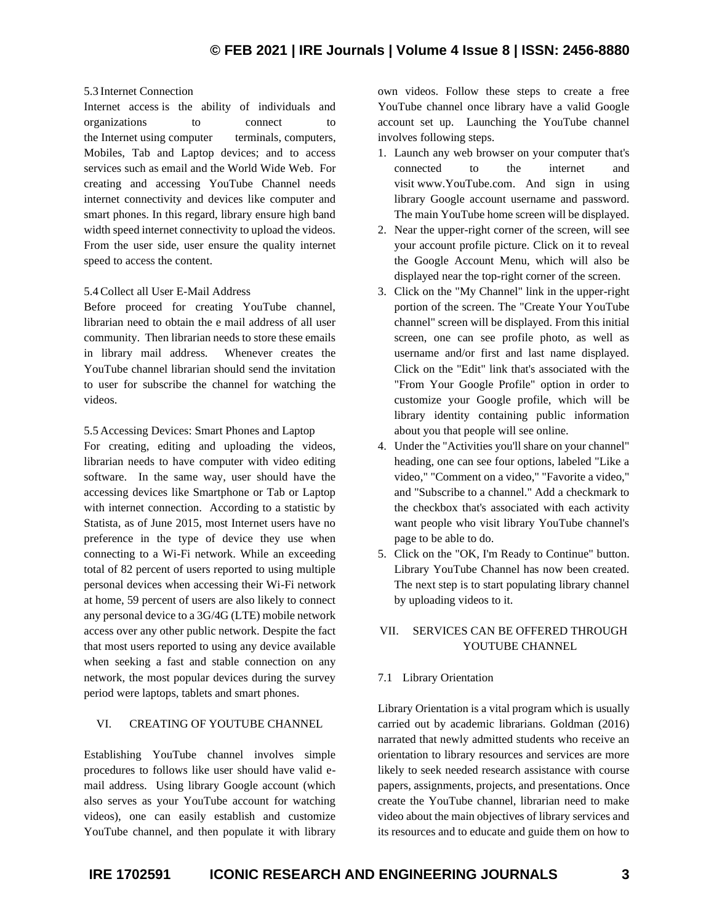## 5.3 Internet Connection

Internet access is the ability of individuals and organizations to connect to the [Internet](https://en.wikipedia.org/wiki/Internet) using [computer terminals,](https://en.wikipedia.org/wiki/Computer_terminal) [computers,](https://en.wikipedia.org/wiki/Computer) Mobiles, Tab and Laptop devices; and to access services such as [email](https://en.wikipedia.org/wiki/Email) and the [World Wide Web.](https://en.wikipedia.org/wiki/History_of_the_World_Wide_Web) For creating and accessing YouTube Channel needs internet connectivity and devices like computer and smart phones. In this regard, library ensure high band width speed internet connectivity to upload the videos. From the user side, user ensure the quality internet speed to access the content.

## 5.4Collect all User E-Mail Address

Before proceed for creating YouTube channel, librarian need to obtain the e mail address of all user community. Then librarian needs to store these emails in library mail address. Whenever creates the YouTube channel librarian should send the invitation to user for subscribe the channel for watching the videos.

5.5 Accessing Devices: Smart Phones and Laptop

For creating, editing and uploading the videos, librarian needs to have computer with video editing software. In the same way, user should have the accessing devices like Smartphone or Tab or Laptop with internet connection. According to a statistic by Statista, as of June 2015, most Internet users have no preference in the type of device they use when connecting to a Wi-Fi network. While an exceeding total of 82 percent of users reported to using multiple personal devices when accessing their Wi-Fi network at home, 59 percent of users are also likely to connect any personal device to a 3G/4G (LTE) mobile network access over any other public network. Despite the fact that most users reported to using any device available when seeking a fast and stable connection on any network, the most popular devices during the survey period were laptops, tablets and smart phones.

## VI. CREATING OF YOUTUBE CHANNEL

Establishing YouTube channel involves simple procedures to follows like user should have valid email address. Using library Google account (which also serves as your YouTube account for watching videos), one can easily establish and customize YouTube channel, and then populate it with library own videos. Follow these steps to create a free YouTube channel once library have a valid Google account set up. Launching the YouTube channel involves following steps.

- 1. Launch any web browser on your computer that's connected to the internet and visit www.YouTube.com. And sign in using library Google account username and password. The main YouTube home screen will be displayed.
- 2. Near the upper-right corner of the screen, will see your account profile picture. Click on it to reveal the Google Account Menu, which will also be displayed near the top-right corner of the screen.
- 3. Click on the "My Channel" link in the upper-right portion of the screen. The "Create Your YouTube channel" screen will be displayed. From this initial screen, one can see profile photo, as well as username and/or first and last name displayed. Click on the "Edit" link that's associated with the "From Your Google Profile" option in order to customize your Google profile, which will be library identity containing public information about you that people will see online.
- 4. Under the "Activities you'll share on your channel" heading, one can see four options, labeled "Like a video," "Comment on a video," "Favorite a video," and "Subscribe to a channel." Add a checkmark to the checkbox that's associated with each activity want people who visit library YouTube channel's page to be able to do.
- 5. Click on the "OK, I'm Ready to Continue" button. Library YouTube Channel has now been created. The next step is to start populating library channel by uploading videos to it.

## VII. SERVICES CAN BE OFFERED THROUGH YOUTUBE CHANNEL

## 7.1 Library Orientation

Library Orientation is a vital program which is usually carried out by academic librarians. Goldman (2016) narrated that newly admitted students who receive an orientation to library resources and services are more likely to seek needed research assistance with course papers, assignments, projects, and presentations. Once create the YouTube channel, librarian need to make video about the main objectives of library services and its resources and to educate and guide them on how to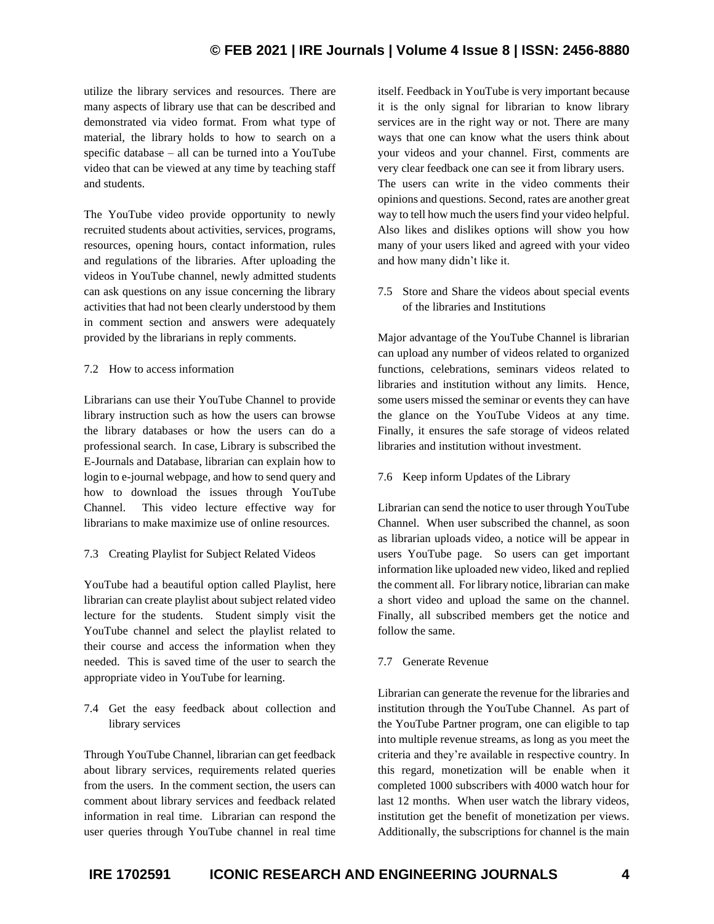# **© FEB 2021 | IRE Journals | Volume 4 Issue 8 | ISSN: 2456-8880**

utilize the library services and resources. There are many aspects of library use that can be described and demonstrated via video format. From what type of material, the library holds to how to search on a specific database – all can be turned into a YouTube video that can be viewed at any time by teaching staff and students.

The YouTube video provide opportunity to newly recruited students about activities, services, programs, resources, opening hours, contact information, rules and regulations of the libraries. After uploading the videos in YouTube channel, newly admitted students can ask questions on any issue concerning the library activities that had not been clearly understood by them in comment section and answers were adequately provided by the librarians in reply comments.

## 7.2 How to access information

Librarians can use their YouTube Channel to provide library instruction such as how the users can browse the library databases or how the users can do a professional search. In case, Library is subscribed the E-Journals and Database, librarian can explain how to login to e-journal webpage, and how to send query and how to download the issues through YouTube Channel. This video lecture effective way for librarians to make maximize use of online resources.

## 7.3 Creating Playlist for Subject Related Videos

YouTube had a beautiful option called Playlist, here librarian can create playlist about subject related video lecture for the students. Student simply visit the YouTube channel and select the playlist related to their course and access the information when they needed. This is saved time of the user to search the appropriate video in YouTube for learning.

7.4 Get the easy feedback about collection and library services

Through YouTube Channel, librarian can get feedback about library services, requirements related queries from the users. In the comment section, the users can comment about library services and feedback related information in real time. Librarian can respond the user queries through YouTube channel in real time

itself. Feedback in YouTube is very important because it is the only signal for librarian to know library services are in the right way or not. There are many ways that one can know what the users think about your videos and your channel. First, comments are very clear feedback one can see it from library users. The users can write in the video comments their opinions and questions. Second, rates are another great way to tell how much the users find your video helpful. Also likes and dislikes options will show you how many of your users liked and agreed with your video and how many didn't like it.

7.5 Store and Share the videos about special events of the libraries and Institutions

Major advantage of the YouTube Channel is librarian can upload any number of videos related to organized functions, celebrations, seminars videos related to libraries and institution without any limits. Hence, some users missed the seminar or events they can have the glance on the YouTube Videos at any time. Finally, it ensures the safe storage of videos related libraries and institution without investment.

## 7.6 Keep inform Updates of the Library

Librarian can send the notice to user through YouTube Channel. When user subscribed the channel, as soon as librarian uploads video, a notice will be appear in users YouTube page. So users can get important information like uploaded new video, liked and replied the comment all. For library notice, librarian can make a short video and upload the same on the channel. Finally, all subscribed members get the notice and follow the same.

## 7.7 Generate Revenue

Librarian can generate the revenue for the libraries and institution through the YouTube Channel. As part of the YouTube Partner program, one can eligible to tap into multiple revenue streams, as long as you meet the criteria and they're available in respective country. In this regard, monetization will be enable when it completed 1000 subscribers with 4000 watch hour for last 12 months. When user watch the library videos, institution get the benefit of monetization per views. Additionally, the subscriptions for channel is the main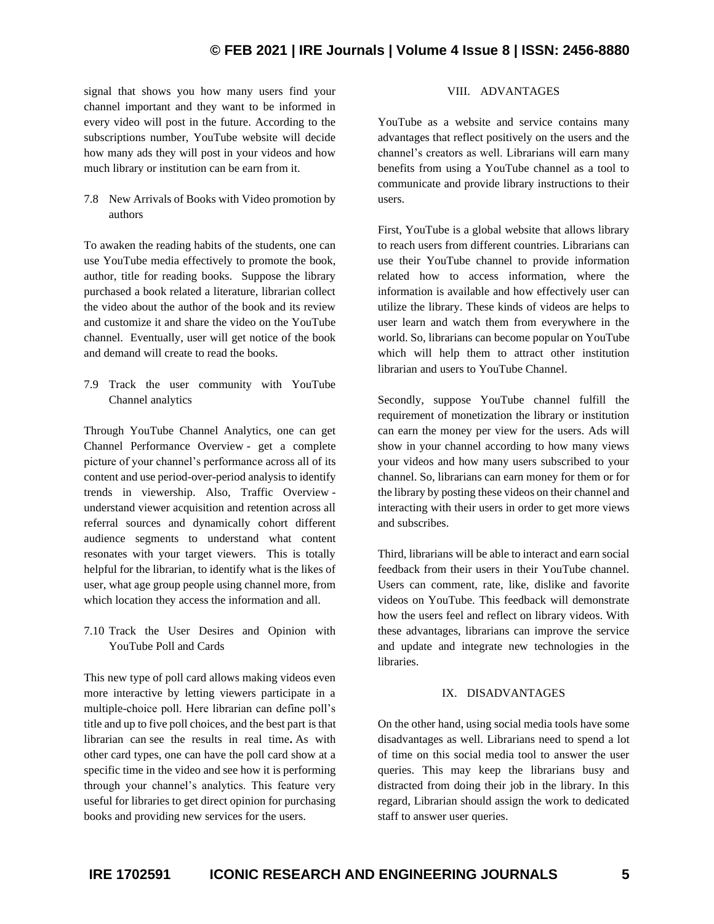# **© FEB 2021 | IRE Journals | Volume 4 Issue 8 | ISSN: 2456-8880**

signal that shows you how many users find your channel important and they want to be informed in every video will post in the future. According to the subscriptions number, YouTube website will decide how many ads they will post in your videos and how much library or institution can be earn from it.

7.8 New Arrivals of Books with Video promotion by authors

To awaken the reading habits of the students, one can use YouTube media effectively to promote the book, author, title for reading books. Suppose the library purchased a book related a literature, librarian collect the video about the author of the book and its review and customize it and share the video on the YouTube channel. Eventually, user will get notice of the book and demand will create to read the books.

7.9 Track the user community with YouTube Channel analytics

Through YouTube Channel Analytics, one can get Channel Performance Overview - get a complete picture of your channel's performance across all of its content and use period-over-period analysis to identify trends in viewership. Also, Traffic Overview understand viewer acquisition and retention across all referral sources and dynamically cohort different audience segments to understand what content resonates with your target viewers. This is totally helpful for the librarian, to identify what is the likes of user, what age group people using channel more, from which location they access the information and all.

7.10 Track the User Desires and Opinion with YouTube Poll and Cards

This new type of poll card allows making videos even more interactive by letting viewers participate in a multiple-choice poll. Here librarian can define poll's title and up to five poll choices, and the best part is that librarian can see the results in real time**.** As with other card types, one can have the poll card show at a specific time in the video and see how it is performing through your channel's analytics. This feature very useful for libraries to get direct opinion for purchasing books and providing new services for the users.

## VIII. ADVANTAGES

YouTube as a website and service contains many advantages that reflect positively on the users and the channel's creators as well. Librarians will earn many benefits from using a YouTube channel as a tool to communicate and provide library instructions to their users.

First, YouTube is a global website that allows library to reach users from different countries. Librarians can use their YouTube channel to provide information related how to access information, where the information is available and how effectively user can utilize the library. These kinds of videos are helps to user learn and watch them from everywhere in the world. So, librarians can become popular on YouTube which will help them to attract other institution librarian and users to YouTube Channel.

Secondly, suppose YouTube channel fulfill the requirement of monetization the library or institution can earn the money per view for the users. Ads will show in your channel according to how many views your videos and how many users subscribed to your channel. So, librarians can earn money for them or for the library by posting these videos on their channel and interacting with their users in order to get more views and subscribes.

Third, librarians will be able to interact and earn social feedback from their users in their YouTube channel. Users can comment, rate, like, dislike and favorite videos on YouTube. This feedback will demonstrate how the users feel and reflect on library videos. With these advantages, librarians can improve the service and update and integrate new technologies in the libraries.

## IX. DISADVANTAGES

On the other hand, using social media tools have some disadvantages as well. Librarians need to spend a lot of time on this social media tool to answer the user queries. This may keep the librarians busy and distracted from doing their job in the library. In this regard, Librarian should assign the work to dedicated staff to answer user queries.